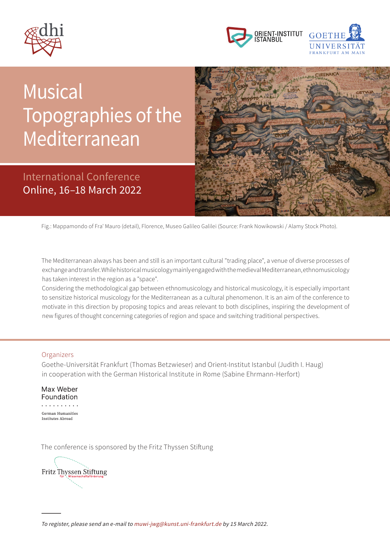



## $\blacksquare$ Mediterranean Sonderfarbe: Pantone Cool Gray 11 U  $\bigcup$ Musical Topographies of the

# International Conference Online, 16–18 March 2022



Fig.: Mappamondo of Fra' Mauro (detail), Florence, Museo Galileo Galilei (Source: Frank Nowikowski / Alamy Stock Photo).

The Mediterranean always has been and still is an important cultural "trading place", a venue of diverse processes of exchange and transfer. While historical musicology mainly engaged with the medieval Mediterranean, ethnomusicology has taken interest in the region as a "space".

Considering the methodological gap between ethnomusicology and historical musicology, it is especially important to sensitize historical musicology for the Mediterranean as a cultural phenomenon. It is an aim of the conference to motivate in this direction by proposing topics and areas relevant to both disciplines, inspiring the development of new figures of thought concerning categories of region and space and switching traditional perspectives.

#### **Organizers**

Goethe-Universität Frankfurt (Thomas Betzwieser) and Orient-Institut Istanbul (Judith I. Haug) in cooperation with the German Historical Institute in Rome (Sabine Ehrmann-Herfort)

Max Weber Foundation German Humanities Institutes Abroad

The conference is sponsored by the Fritz Thyssen Stiftung

Fritz Thyssen Stiftung